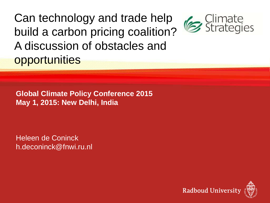## Can technology and trade help build a carbon pricing coalition? A discussion of obstacles and **opportunities**

**Global Climate Policy Conference 2015 May 1, 2015: New Delhi, India**

Heleen de Coninck h.deconinck@fnwi.ru.nl



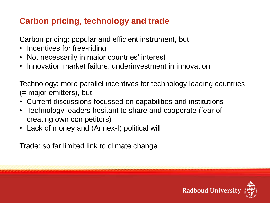## **Carbon pricing, technology and trade**

Carbon pricing: popular and efficient instrument, but

- Incentives for free-riding
- Not necessarily in major countries' interest
- Innovation market failure: underinvestment in innovation

Technology: more parallel incentives for technology leading countries (= major emitters), but

- Current discussions focussed on capabilities and institutions
- Technology leaders hesitant to share and cooperate (fear of creating own competitors)
- Lack of money and (Annex-I) political will

Trade: so far limited link to climate change

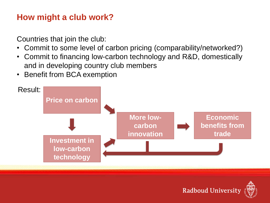## **How might a club work?**

Countries that join the club:

- Commit to some level of carbon pricing (comparability/networked?)
- Commit to financing low-carbon technology and R&D, domestically and in developing country club members
- **Benefit from BCA exemption**